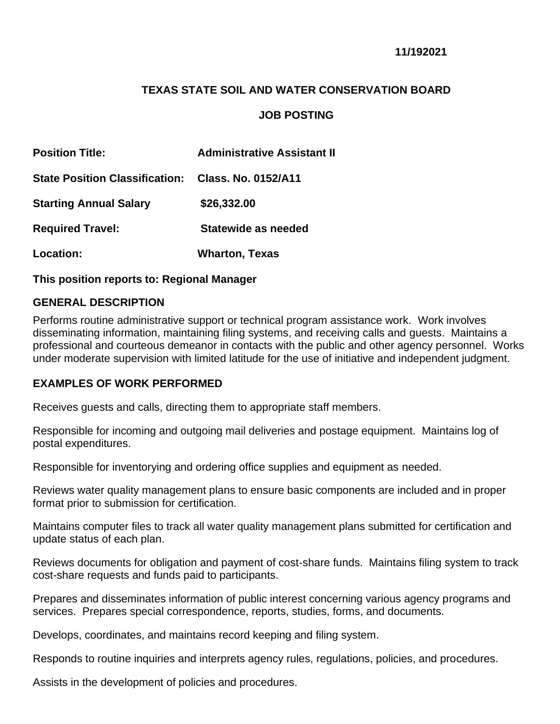# **TEXAS STATE SOIL AND WATER CONSERVATION BOARD**

#### **JOB POSTING**

| <b>Position Title:</b>                             | <b>Administrative Assistant II</b> |
|----------------------------------------------------|------------------------------------|
| State Position Classification: Class, No. 0152/A11 |                                    |
| <b>Starting Annual Salary</b>                      | \$26,332.00                        |
| <b>Required Travel:</b>                            | Statewide as needed                |
| Location:                                          | <b>Wharton, Texas</b>              |

**This position reports to: Regional Manager**

#### **GENERAL DESCRIPTION**

Performs routine administrative support or technical program assistance work. Work involves disseminating information, maintaining filing systems, and receiving calls and guests. Maintains a professional and courteous demeanor in contacts with the public and other agency personnel. Works under moderate supervision with limited latitude for the use of initiative and independent judgment.

#### **EXAMPLES OF WORK PERFORMED**

Receives guests and calls, directing them to appropriate staff members.

Responsible for incoming and outgoing mail deliveries and postage equipment. Maintains log of postal expenditures.

Responsible for inventorying and ordering office supplies and equipment as needed.

Reviews water quality management plans to ensure basic components are included and in proper format prior to submission for certification.

Maintains computer files to track all water quality management plans submitted for certification and update status of each plan.

Reviews documents for obligation and payment of cost-share funds. Maintains filing system to track cost-share requests and funds paid to participants.

Prepares and disseminates information of public interest concerning various agency programs and services. Prepares special correspondence, reports, studies, forms, and documents.

Develops, coordinates, and maintains record keeping and filing system.

Responds to routine inquiries and interprets agency rules, regulations, policies, and procedures.

Assists in the development of policies and procedures.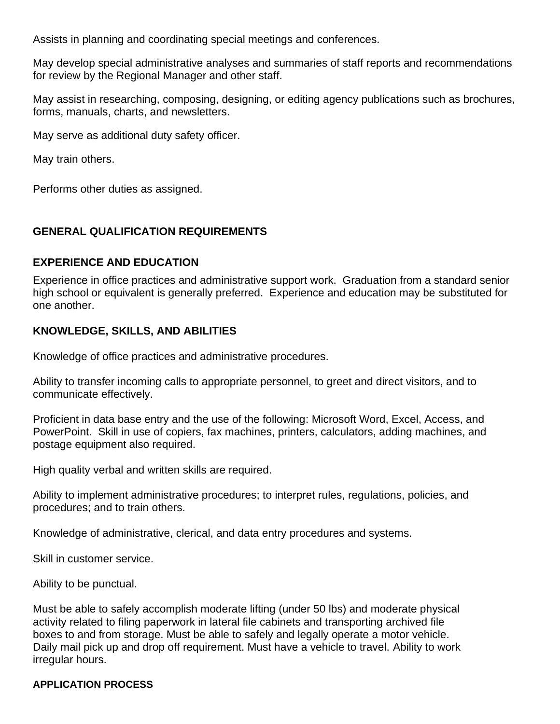Assists in planning and coordinating special meetings and conferences.

May develop special administrative analyses and summaries of staff reports and recommendations for review by the Regional Manager and other staff.

May assist in researching, composing, designing, or editing agency publications such as brochures, forms, manuals, charts, and newsletters.

May serve as additional duty safety officer.

May train others.

Performs other duties as assigned.

# **GENERAL QUALIFICATION REQUIREMENTS**

## **EXPERIENCE AND EDUCATION**

Experience in office practices and administrative support work. Graduation from a standard senior high school or equivalent is generally preferred. Experience and education may be substituted for one another.

# **KNOWLEDGE, SKILLS, AND ABILITIES**

Knowledge of office practices and administrative procedures.

Ability to transfer incoming calls to appropriate personnel, to greet and direct visitors, and to communicate effectively.

Proficient in data base entry and the use of the following: Microsoft Word, Excel, Access, and PowerPoint. Skill in use of copiers, fax machines, printers, calculators, adding machines, and postage equipment also required.

High quality verbal and written skills are required.

Ability to implement administrative procedures; to interpret rules, regulations, policies, and procedures; and to train others.

Knowledge of administrative, clerical, and data entry procedures and systems.

Skill in customer service.

Ability to be punctual.

Must be able to safely accomplish moderate lifting (under 50 lbs) and moderate physical activity related to filing paperwork in lateral file cabinets and transporting archived file boxes to and from storage. Must be able to safely and legally operate a motor vehicle. Daily mail pick up and drop off requirement. Must have a vehicle to travel. Ability to work irregular hours.

## **APPLICATION PROCESS**